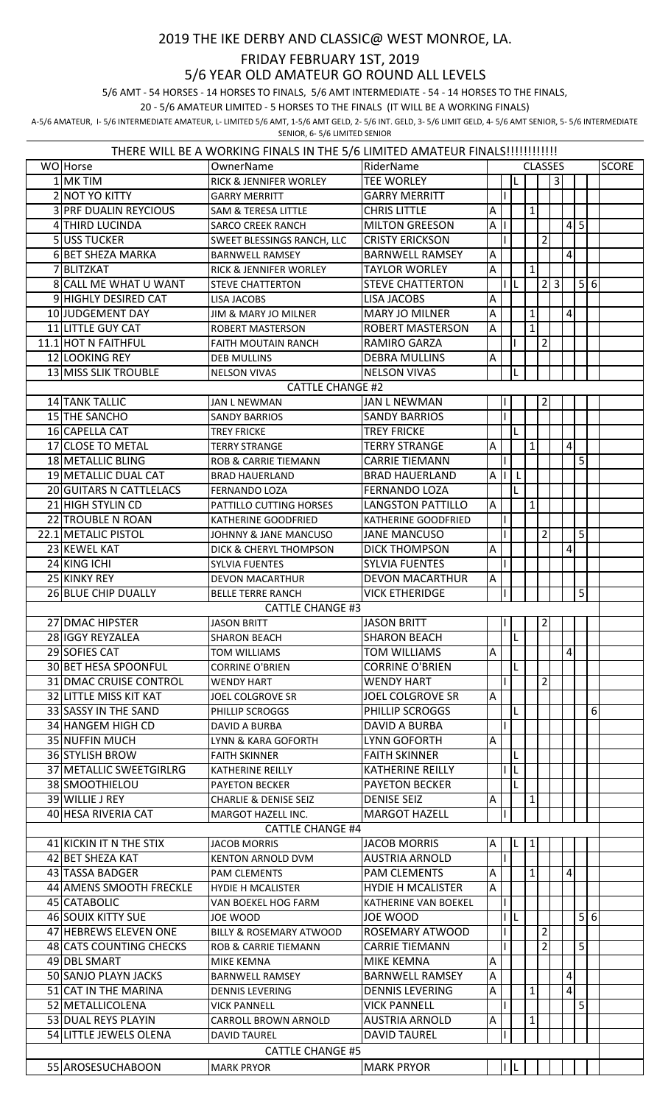## 2019 THE IKE DERBY AND CLASSIC@ WEST MONROE, LA.

## FRIDAY FEBRUARY 1ST, 2019

5/6 YEAR OLD AMATEUR GO ROUND ALL LEVELS

5/6 AMT - 54 HORSES - 14 HORSES TO FINALS, 5/6 AMT INTERMEDIATE - 54 - 14 HORSES TO THE FINALS,

20 - 5/6 AMATEUR LIMITED - 5 HORSES TO THE FINALS (IT WILL BE A WORKING FINALS)

A-5/6 AMATEUR, I- 5/6 INTERMEDIATE AMATEUR, L- LIMITED 5/6 AMT, 1-5/6 AMT GELD, 2- 5/6 INT. GELD, 3- 5/6 LIMIT GELD, 4- 5/6 AMT SENIOR, 5- 5/6 INTERMEDIATE SENIOR, 6- 5/6 LIMITED SENIOR

| THERE WILL BE A WORKING FINALS IN THE 5/6 LIMITED AMATEUR FINALS!!!!!!!!!!!!! |                                           |                                    |                          |                |              |     |              |                |                |                 |                |                  |  |
|-------------------------------------------------------------------------------|-------------------------------------------|------------------------------------|--------------------------|----------------|--------------|-----|--------------|----------------|----------------|-----------------|----------------|------------------|--|
|                                                                               | WO Horse                                  | OwnerName                          | RiderName                | <b>CLASSES</b> |              |     |              |                |                |                 |                | <b>SCORE</b>     |  |
|                                                                               | 1 MK TIM                                  | RICK & JENNIFER WORLEY             | <b>TEE WORLEY</b>        |                |              |     |              |                | $\overline{3}$ |                 |                |                  |  |
|                                                                               | 2 NOT YO KITTY                            | <b>GARRY MERRITT</b>               | <b>GARRY MERRITT</b>     |                |              |     |              |                |                |                 |                |                  |  |
|                                                                               | <b>3 PRF DUALIN REYCIOUS</b>              | SAM & TERESA LITTLE                | <b>CHRIS LITTLE</b>      | A              |              |     | $\mathbf{1}$ |                |                |                 |                |                  |  |
|                                                                               | 4 THIRD LUCINDA                           | <b>SARCO CREEK RANCH</b>           | <b>MILTON GREESON</b>    | Α              |              |     |              |                |                | $4 \mid 5$      |                |                  |  |
|                                                                               | 5 USS TUCKER                              | SWEET BLESSINGS RANCH, LLC         | <b>CRISTY ERICKSON</b>   |                |              |     |              | 2              |                |                 |                |                  |  |
|                                                                               | 6 BET SHEZA MARKA                         | <b>BARNWELL RAMSEY</b>             | <b>BARNWELL RAMSEY</b>   | $\overline{A}$ |              |     |              |                |                | $\vert 4 \vert$ |                |                  |  |
|                                                                               | 7 BLITZKAT                                | <b>RICK &amp; JENNIFER WORLEY</b>  | <b>TAYLOR WORLEY</b>     | A              |              |     | $\mathbf{1}$ |                |                |                 |                |                  |  |
|                                                                               | 8 CALL ME WHAT U WANT                     | <b>STEVE CHATTERTON</b>            | <b>STEVE CHATTERTON</b>  |                |              |     |              |                | 2 3            |                 | 5 6            |                  |  |
|                                                                               | 9 HIGHLY DESIRED CAT                      | LISA JACOBS                        | <b>LISA JACOBS</b>       | $\overline{A}$ |              |     |              |                |                |                 |                |                  |  |
|                                                                               | 10 JUDGEMENT DAY                          | JIM & MARY JO MILNER               | <b>MARY JO MILNER</b>    | $\overline{A}$ |              |     | $\mathbf{1}$ |                |                | $\vert 4 \vert$ |                |                  |  |
|                                                                               | 11 LITTLE GUY CAT                         | ROBERT MASTERSON                   | <b>ROBERT MASTERSON</b>  | $\overline{A}$ |              |     | $\mathbf{1}$ |                |                |                 |                |                  |  |
|                                                                               | 11.1 HOT N FAITHFUL                       | <b>FAITH MOUTAIN RANCH</b>         | <b>RAMIRO GARZA</b>      |                |              |     |              | $\overline{2}$ |                |                 |                |                  |  |
|                                                                               | 12 LOOKING REY                            | <b>DEB MULLINS</b>                 | <b>DEBRA MULLINS</b>     | Α              |              |     |              |                |                |                 |                |                  |  |
|                                                                               | 13 MISS SLIK TROUBLE                      | <b>NELSON VIVAS</b>                | <b>NELSON VIVAS</b>      |                |              |     |              |                |                |                 |                |                  |  |
|                                                                               | <b>CATTLE CHANGE #2</b><br>14 TANK TALLIC |                                    |                          |                |              |     |              |                |                |                 |                |                  |  |
|                                                                               |                                           | <b>JAN L NEWMAN</b>                | <b>JAN L NEWMAN</b>      |                |              |     |              | $\overline{2}$ |                |                 |                |                  |  |
|                                                                               | 15 THE SANCHO                             | <b>SANDY BARRIOS</b>               | <b>SANDY BARRIOS</b>     |                |              |     |              |                |                |                 |                |                  |  |
|                                                                               | 16 CAPELLA CAT                            | <b>TREY FRICKE</b>                 | <b>TREY FRICKE</b>       |                |              | L   |              |                |                |                 |                |                  |  |
|                                                                               | 17 CLOSE TO METAL                         | <b>TERRY STRANGE</b>               | <b>TERRY STRANGE</b>     | A              |              |     | $\mathbf{1}$ |                |                | $\vert 4 \vert$ |                |                  |  |
|                                                                               | 18 METALLIC BLING                         | <b>ROB &amp; CARRIE TIEMANN</b>    | <b>CARRIE TIEMANN</b>    |                |              |     |              |                |                |                 | 5              |                  |  |
|                                                                               | 19 METALLIC DUAL CAT                      | <b>BRAD HAUERLAND</b>              | <b>BRAD HAUERLAND</b>    | Α              |              | L   |              |                |                |                 |                |                  |  |
|                                                                               | 20 GUITARS N CATTLELACS                   | FERNANDO LOZA                      | <b>FERNANDO LOZA</b>     |                |              |     |              |                |                |                 |                |                  |  |
|                                                                               | 21 HIGH STYLIN CD                         | PATTILLO CUTTING HORSES            | <b>LANGSTON PATTILLO</b> | $\overline{A}$ |              |     | $\mathbf{1}$ |                |                |                 |                |                  |  |
|                                                                               | 22 TROUBLE N ROAN                         | KATHERINE GOODFRIED                | KATHERINE GOODFRIED      |                |              |     |              |                |                |                 |                |                  |  |
|                                                                               | 22.1 METALIC PISTOL                       | JOHNNY & JANE MANCUSO              | <b>JANE MANCUSO</b>      |                |              |     |              | 2              |                |                 | 5              |                  |  |
|                                                                               | 23 KEWEL KAT                              | DICK & CHERYL THOMPSON             | <b>DICK THOMPSON</b>     | $\overline{A}$ |              |     |              |                |                | $\vert$         |                |                  |  |
|                                                                               | 24 KING ICHI                              | <b>SYLVIA FUENTES</b>              | <b>SYLVIA FUENTES</b>    |                |              |     |              |                |                |                 |                |                  |  |
|                                                                               | 25 KINKY REY                              | <b>DEVON MACARTHUR</b>             | <b>DEVON MACARTHUR</b>   | A              |              |     |              |                |                |                 |                |                  |  |
|                                                                               | 26 BLUE CHIP DUALLY                       | <b>BELLE TERRE RANCH</b>           | <b>VICK ETHERIDGE</b>    |                |              |     |              |                |                |                 | 5              |                  |  |
|                                                                               | <b>CATTLE CHANGE #3</b>                   |                                    |                          |                |              |     |              |                |                |                 |                |                  |  |
|                                                                               | 27 DMAC HIPSTER                           | <b>JASON BRITT</b>                 | <b>JASON BRITT</b>       |                | $\mathbf{L}$ |     |              | $\overline{2}$ |                |                 |                |                  |  |
|                                                                               | 28 IGGY REYZALEA                          | <b>SHARON BEACH</b>                | <b>SHARON BEACH</b>      |                |              | IL. |              |                |                |                 |                |                  |  |
|                                                                               | 29 SOFIES CAT                             | <b>TOM WILLIAMS</b>                | <b>TOM WILLIAMS</b>      | A              |              |     |              |                |                | $\vert$         |                |                  |  |
|                                                                               | 30 BET HESA SPOONFUL                      | <b>CORRINE O'BRIEN</b>             | <b>CORRINE O'BRIEN</b>   |                |              |     |              |                |                |                 |                |                  |  |
|                                                                               | 31 DMAC CRUISE CONTROL                    | <b>WENDY HART</b>                  | <b>WENDY HART</b>        |                |              |     |              | $\overline{2}$ |                |                 |                |                  |  |
|                                                                               | 32 LITTLE MISS KIT KAT                    | <b>JOEL COLGROVE SR</b>            | <b>JOEL COLGROVE SR</b>  | $\overline{A}$ |              |     |              |                |                |                 |                |                  |  |
|                                                                               | 33 SASSY IN THE SAND                      | PHILLIP SCROGGS                    | PHILLIP SCROGGS          |                |              |     |              |                |                |                 |                | $6 \overline{6}$ |  |
|                                                                               | 34 HANGEM HIGH CD                         | DAVID A BURBA                      | DAVID A BURBA            |                |              |     |              |                |                |                 |                |                  |  |
|                                                                               | 35 NUFFIN MUCH                            | LYNN & KARA GOFORTH                | <b>LYNN GOFORTH</b>      | $\overline{A}$ |              |     |              |                |                |                 |                |                  |  |
|                                                                               | 36 STYLISH BROW                           | <b>FAITH SKINNER</b>               | <b>FAITH SKINNER</b>     |                |              |     |              |                |                |                 |                |                  |  |
|                                                                               | 37 METALLIC SWEETGIRLRG                   | <b>KATHERINE REILLY</b>            | <b>KATHERINE REILLY</b>  |                | L            | IL  |              |                |                |                 |                |                  |  |
|                                                                               | 38 SMOOTHIELOU                            | <b>PAYETON BECKER</b>              | <b>PAYETON BECKER</b>    |                |              |     |              |                |                |                 |                |                  |  |
|                                                                               | 39 WILLIE J REY                           | <b>CHARLIE &amp; DENISE SEIZ</b>   | <b>DENISE SEIZ</b>       | Α              |              |     | $\mathbf{1}$ |                |                |                 |                |                  |  |
|                                                                               | 40 HESA RIVERIA CAT                       | MARGOT HAZELL INC.                 | <b>MARGOT HAZELL</b>     |                |              |     |              |                |                |                 |                |                  |  |
|                                                                               |                                           | <b>CATTLE CHANGE #4</b>            |                          |                |              |     |              |                |                |                 |                |                  |  |
|                                                                               | 41 KICKIN IT N THE STIX                   | <b>JACOB MORRIS</b>                | <b>JACOB MORRIS</b>      | ΙA             |              | L.  | 1            |                |                |                 |                |                  |  |
|                                                                               | 42 BET SHEZA KAT                          | <b>KENTON ARNOLD DVM</b>           | <b>AUSTRIA ARNOLD</b>    |                |              |     |              |                |                |                 |                |                  |  |
|                                                                               | 43 TASSA BADGER                           | <b>PAM CLEMENTS</b>                | <b>PAM CLEMENTS</b>      | A              |              |     | $\mathbf{1}$ |                |                | $\vert 4 \vert$ |                |                  |  |
|                                                                               | 44 AMENS SMOOTH FRECKLE                   | <b>HYDIE H MCALISTER</b>           | <b>HYDIE H MCALISTER</b> | $\overline{A}$ |              |     |              |                |                |                 |                |                  |  |
|                                                                               | 45 CATABOLIC                              | VAN BOEKEL HOG FARM                | KATHERINE VAN BOEKEL     |                |              |     |              |                |                |                 |                |                  |  |
|                                                                               | 46 SOUIX KITTY SUE                        | JOE WOOD                           | JOE WOOD                 |                | I IL         |     |              |                |                |                 | 5 6            |                  |  |
|                                                                               | 47 HEBREWS ELEVEN ONE                     | <b>BILLY &amp; ROSEMARY ATWOOD</b> | ROSEMARY ATWOOD          |                |              |     |              | 2              |                |                 |                |                  |  |
|                                                                               | 48 CATS COUNTING CHECKS                   | <b>ROB &amp; CARRIE TIEMANN</b>    | <b>CARRIE TIEMANN</b>    |                |              |     |              | $\overline{2}$ |                |                 | 5 <sup>1</sup> |                  |  |
|                                                                               | 49 DBL SMART                              | <b>MIKE KEMNA</b>                  | MIKE KEMNA               | A              |              |     |              |                |                |                 |                |                  |  |
|                                                                               | 50 SANJO PLAYN JACKS                      | <b>BARNWELL RAMSEY</b>             | <b>BARNWELL RAMSEY</b>   | A              |              |     |              |                |                | $\vert 4 \vert$ |                |                  |  |
|                                                                               | 51 CAT IN THE MARINA                      | <b>DENNIS LEVERING</b>             | <b>DENNIS LEVERING</b>   | $\mathsf A$    |              |     | $\mathbf{1}$ |                |                | $\vert$         |                |                  |  |
|                                                                               | 52 METALLICOLENA                          | <b>VICK PANNELL</b>                | <b>VICK PANNELL</b>      |                |              |     |              |                |                |                 | 5 <sup>1</sup> |                  |  |
|                                                                               | 53 DUAL REYS PLAYIN                       | CARROLL BROWN ARNOLD               | <b>AUSTRIA ARNOLD</b>    | Α              |              |     | 1            |                |                |                 |                |                  |  |
|                                                                               | 54 LITTLE JEWELS OLENA                    | <b>DAVID TAUREL</b>                | <b>DAVID TAUREL</b>      |                |              |     |              |                |                |                 |                |                  |  |
| <b>CATTLE CHANGE #5</b>                                                       |                                           |                                    |                          |                |              |     |              |                |                |                 |                |                  |  |
|                                                                               | 55 AROSESUCHABOON                         | <b>MARK PRYOR</b>                  | <b>MARK PRYOR</b>        |                | I  L         |     |              |                |                |                 |                |                  |  |